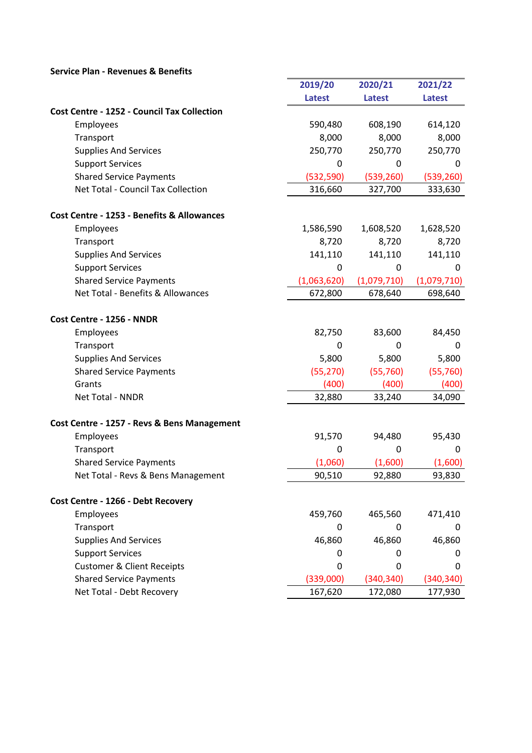## Service Plan - Revenues & Benefits

|                                                    | 2019/20       | 2020/21       | 2021/22       |
|----------------------------------------------------|---------------|---------------|---------------|
|                                                    | <b>Latest</b> | <b>Latest</b> | <b>Latest</b> |
| <b>Cost Centre - 1252 - Council Tax Collection</b> |               |               |               |
| Employees                                          | 590,480       | 608,190       | 614,120       |
| Transport                                          | 8,000         | 8,000         | 8,000         |
| <b>Supplies And Services</b>                       | 250,770       | 250,770       | 250,770       |
| <b>Support Services</b>                            | 0             | 0             | 0             |
| <b>Shared Service Payments</b>                     | (532, 590)    | (539, 260)    | (539, 260)    |
| Net Total - Council Tax Collection                 | 316,660       | 327,700       | 333,630       |
| Cost Centre - 1253 - Benefits & Allowances         |               |               |               |
| Employees                                          | 1,586,590     | 1,608,520     | 1,628,520     |
| Transport                                          | 8,720         | 8,720         | 8,720         |
| <b>Supplies And Services</b>                       | 141,110       | 141,110       | 141,110       |
| <b>Support Services</b>                            | 0             | 0             | 0             |
| <b>Shared Service Payments</b>                     | (1,063,620)   | (1,079,710)   | (1,079,710)   |
| Net Total - Benefits & Allowances                  | 672,800       | 678,640       | 698,640       |
| Cost Centre - 1256 - NNDR                          |               |               |               |
| Employees                                          | 82,750        | 83,600        | 84,450        |
| Transport                                          | 0             | 0             | 0             |
| <b>Supplies And Services</b>                       | 5,800         | 5,800         | 5,800         |
| <b>Shared Service Payments</b>                     | (55, 270)     | (55, 760)     | (55, 760)     |
| Grants                                             | (400)         | (400)         | (400)         |
| Net Total - NNDR                                   | 32,880        | 33,240        | 34,090        |
| Cost Centre - 1257 - Revs & Bens Management        |               |               |               |
| Employees                                          | 91,570        | 94,480        | 95,430        |
| Transport                                          | 0             | 0             | 0             |
| <b>Shared Service Payments</b>                     | (1,060)       | (1,600)       | (1,600)       |
| Net Total - Revs & Bens Management                 | 90,510        | 92,880        | 93,830        |
| Cost Centre - 1266 - Debt Recovery                 |               |               |               |
| Employees                                          | 459,760       | 465,560       | 471,410       |
| Transport                                          | 0             | 0             | 0             |
| <b>Supplies And Services</b>                       | 46,860        | 46,860        | 46,860        |
| <b>Support Services</b>                            | 0             | 0             | 0             |
| <b>Customer &amp; Client Receipts</b>              | 0             | 0             | 0             |
| <b>Shared Service Payments</b>                     | (339,000)     | (340, 340)    | (340, 340)    |
| Net Total - Debt Recovery                          | 167,620       | 172,080       | 177,930       |

٠